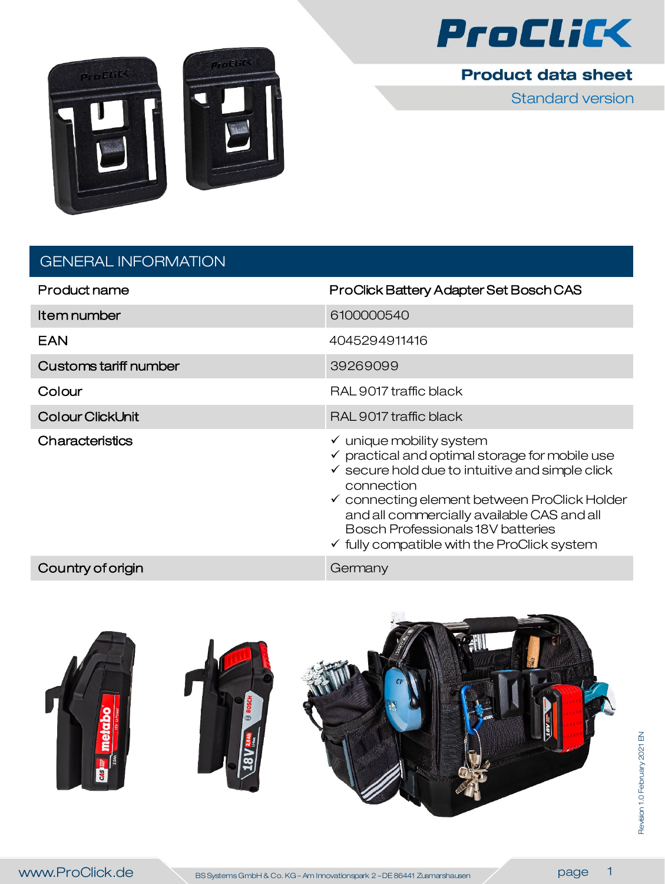



**Product data sheet** 

Standard version

| <b>GENERAL INFORMATION</b> |
|----------------------------|
|                            |

| Product name                 | ProClick Battery Adapter Set Bosch CAS                                                                                                                                                                                                                                                                                                                                               |
|------------------------------|--------------------------------------------------------------------------------------------------------------------------------------------------------------------------------------------------------------------------------------------------------------------------------------------------------------------------------------------------------------------------------------|
| Item number                  | 6100000540                                                                                                                                                                                                                                                                                                                                                                           |
| <b>EAN</b>                   | 4045294911416                                                                                                                                                                                                                                                                                                                                                                        |
| <b>Customs tariff number</b> | 39269099                                                                                                                                                                                                                                                                                                                                                                             |
| Colour                       | RAL 9017 traffic black                                                                                                                                                                                                                                                                                                                                                               |
| <b>Colour ClickUnit</b>      | RAL 9017 traffic black                                                                                                                                                                                                                                                                                                                                                               |
| Characteristics              | $\checkmark$ unique mobility system<br>$\checkmark$ practical and optimal storage for mobile use<br>$\checkmark$ secure hold due to intuitive and simple click<br>connection<br>$\checkmark$ connecting element between ProClick Holder<br>and all commercially available CAS and all<br>Bosch Professionals 18V batteries<br>$\checkmark$ fully compatible with the ProClick system |
| Country of origin            | Germany                                                                                                                                                                                                                                                                                                                                                                              |